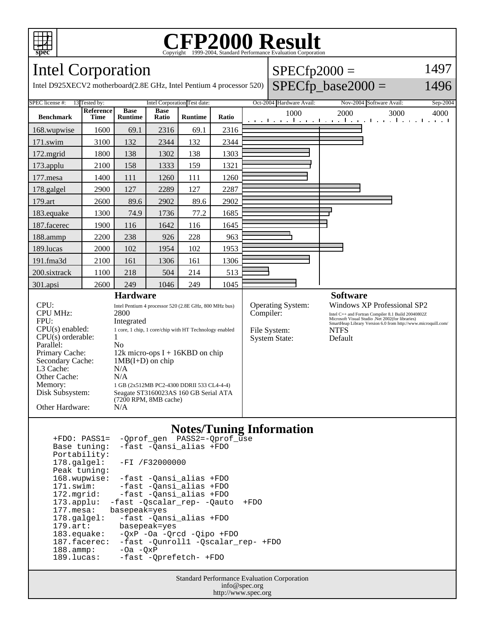

### **CFP2000 Result** Copyright ©1999-2004, Standard Performance Evaluation Corporation

Intel Corporation

Intel D925XECV2 motherboard(2.8E GHz, Intel Pentium 4 processor 520)

| $SPECfp2000 =$ | 1497 |
|----------------|------|
|                |      |

1496

# $SPECfp\_base2000 =$

SPEC license #: 13 Tested by: Intel Corporation Test date: Oct-2004 Hardware Avail: Nov-2004 Software Avail: Sep-2004 **Benchmark Reference Time Base Runtime Base Ratio Runtime Ratio** 1000 2000 3000 4000 168.wupwise 1600 69.1 2316 69.1 2316 171.swim | 3100 | 132 | 2344 | 132 | 2344 172.mgrid | 1800 | 138 | 1302 | 138 | 1303 173.applu | 2100 | 158 | 1333 | 159 | 1321 177.mesa | 1400 111 | 1260 111 | 1260 178.galgel | 2900 | 127 | 2289 | 127 | 2287 179.art | 2600 | 89.6 | 2902 | 89.6 | 2902 183.equake 1300 74.9 1736 77.2 1685 187.facerec | 1900 | 116 | 1642 | 116 | 1645 188.ammp | 2200 | 238 | 926 | 228 | 963 189.lucas | 2000 | 102 | 1954 | 102 | 1953 191.fma3d 2100 161 1306 161 1306 200.sixtrack 1100 218 504 214 513 301.apsi 2600 249 1046 249 1045 **Hardware** CPU: Intel Pentium 4 processor 520 (2.8E GHz, 800 MHz bus)<br>CPU MHz: 2800 CPU MHz: FPU: Integrated CPU(s) enabled: 1 core, 1 chip, 1 core/chip with HT Technology enabled  $CPU(s)$  orderable:  $1$ Parallel: No<br>Primary Cache: 12k 12k micro-ops  $I + 16KBD$  on chip Secondary Cache: 1MB(I+D) on chip L3 Cache: N/A<br>Other Cache: N/A Other Cache:<br>Memory: 1 GB (2x512MB PC2-4300 DDRII 533 CL4-4-4) Disk Subsystem: Seagate ST3160023AS 160 GB Serial ATA (7200 RPM, 8MB cache) Other Hardware: N/A **Software** Operating System: Windows XP Professional SP2<br>
Compiler: Intel C++ and Fortran Compiler 8.1 Build 20040802Z Intel C++ and Fortran Compiler 8.1 Build 20040802Z Microsoft Visual Studio .Net 2002(for libraries) SmartHeap Library Version 6.0 from http://www.microquill.com/ File System: NTFS<br>System State: Default System State:

## **Notes/Tuning Information**

| -Qprof_gen PASS2=-Qprof_use<br>$+FDO: PASS1=$           |  |  |
|---------------------------------------------------------|--|--|
| -fast -Qansi_alias +FDO<br>Base tuning:                 |  |  |
| Portability:                                            |  |  |
| $178.\text{qalgel}$ :<br>$-FI / F32000000$              |  |  |
| Peak tuning:                                            |  |  |
| 168.wupwise:<br>-fast -Qansi alias +FDO                 |  |  |
| -fast -Qansi_alias +FDO<br>$171$ .swim:                 |  |  |
| -fast -Qansi_alias +FDO<br>172.mqrid:                   |  |  |
| $173.appendu$ :<br>-fast -Oscalar rep- -Oauto<br>$+FDO$ |  |  |
| basepeak=yes<br>177.mesa:                               |  |  |
| -fast -Oansi alias +FDO<br>$178.\text{q}$               |  |  |
| $179.\text{art}$ :<br>basepeak=yes                      |  |  |
| $183$ .equake:<br>$-OXP -Oa -Orcd -Oipo +FDO$           |  |  |
| 187.facerec:<br>-fast -Ounroll1 -Oscalar rep- +FDO      |  |  |
| $188.\t{ammp}$ :<br>$-Oa - OxP$                         |  |  |
| 189.lucas:<br>-fast -Oprefetch- +FDO                    |  |  |

Standard Performance Evaluation Corporation info@spec.org http://www.spec.org